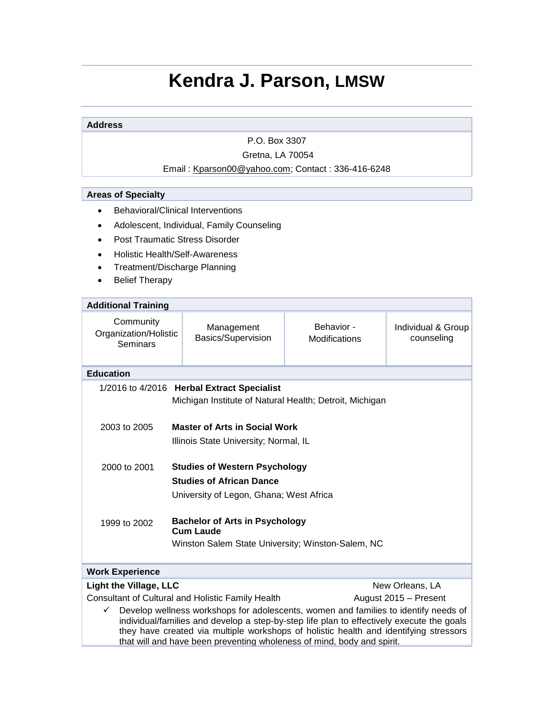# **Kendra J. Parson, LMSW**

#### **Address**

P.O. Box 3307

# Gretna, LA 70054

## Email : [Kparson00@yahoo.com;](mailto:Kparson00@yahoo.com) Contact : 336-416-6248

## **Areas of Specialty**

- Behavioral/Clinical Interventions
- Adolescent, Individual, Family Counseling
- Post Traumatic Stress Disorder
- Holistic Health/Self-Awareness
- Treatment/Discharge Planning
- Belief Therapy

| <b>Additional Training</b>                                                                                                                                                                                                                                                                                                                                                                                                                    |                                                                                                                    |                             |                                  |  |
|-----------------------------------------------------------------------------------------------------------------------------------------------------------------------------------------------------------------------------------------------------------------------------------------------------------------------------------------------------------------------------------------------------------------------------------------------|--------------------------------------------------------------------------------------------------------------------|-----------------------------|----------------------------------|--|
| Community<br>Organization/Holistic<br>Seminars                                                                                                                                                                                                                                                                                                                                                                                                | Management<br>Basics/Supervision                                                                                   | Behavior -<br>Modifications | Individual & Group<br>counseling |  |
| <b>Education</b>                                                                                                                                                                                                                                                                                                                                                                                                                              |                                                                                                                    |                             |                                  |  |
| 1/2016 to 4/2016 Herbal Extract Specialist<br>Michigan Institute of Natural Health; Detroit, Michigan                                                                                                                                                                                                                                                                                                                                         |                                                                                                                    |                             |                                  |  |
| 2003 to 2005                                                                                                                                                                                                                                                                                                                                                                                                                                  | <b>Master of Arts in Social Work</b><br>Illinois State University; Normal, IL                                      |                             |                                  |  |
| 2000 to 2001                                                                                                                                                                                                                                                                                                                                                                                                                                  | <b>Studies of Western Psychology</b><br><b>Studies of African Dance</b><br>University of Legon, Ghana; West Africa |                             |                                  |  |
| 1999 to 2002                                                                                                                                                                                                                                                                                                                                                                                                                                  | <b>Bachelor of Arts in Psychology</b><br><b>Cum Laude</b><br>Winston Salem State University; Winston-Salem, NC     |                             |                                  |  |
| <b>Work Experience</b>                                                                                                                                                                                                                                                                                                                                                                                                                        |                                                                                                                    |                             |                                  |  |
| <b>Light the Village, LLC</b>                                                                                                                                                                                                                                                                                                                                                                                                                 |                                                                                                                    |                             | New Orleans, LA                  |  |
| <b>Consultant of Cultural and Holistic Family Health</b><br>August 2015 - Present<br>Develop wellness workshops for adolescents, women and families to identify needs of<br>✓<br>individual/families and develop a step-by-step life plan to effectively execute the goals<br>they have created via multiple workshops of holistic health and identifying stressors<br>that will and have been preventing wholeness of mind, body and spirit. |                                                                                                                    |                             |                                  |  |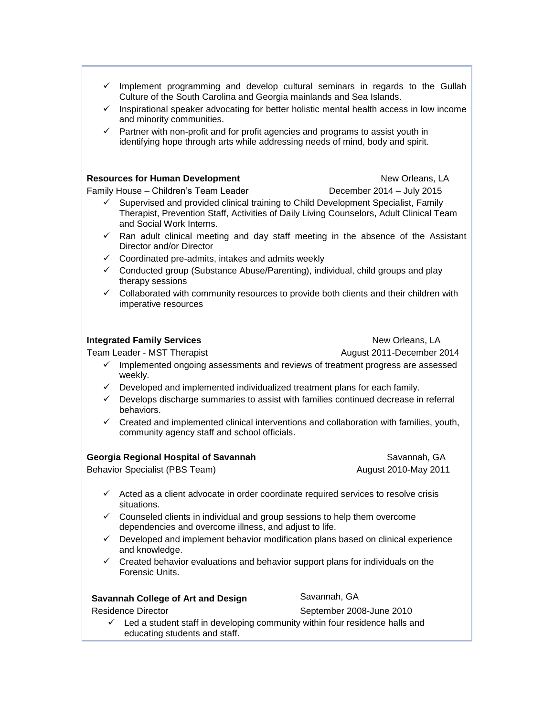- $\checkmark$  Implement programming and develop cultural seminars in regards to the Gullah Culture of the South Carolina and Georgia mainlands and Sea Islands.
- $\checkmark$  Inspirational speaker advocating for better holistic mental health access in low income and minority communities.
- $\checkmark$  Partner with non-profit and for profit agencies and programs to assist youth in identifying hope through arts while addressing needs of mind, body and spirit.

#### **Resources for Human Development** New Orleans, LA

Family House – Children's Team Leader **December 2014 – July 2015** 

- $\checkmark$  Supervised and provided clinical training to Child Development Specialist, Family Therapist, Prevention Staff, Activities of Daily Living Counselors, Adult Clinical Team and Social Work Interns.
- $\checkmark$  Ran adult clinical meeting and day staff meeting in the absence of the Assistant Director and/or Director
- $\checkmark$  Coordinated pre-admits, intakes and admits weekly
- $\checkmark$  Conducted group (Substance Abuse/Parenting), individual, child groups and play therapy sessions
- $\checkmark$  Collaborated with community resources to provide both clients and their children with imperative resources

#### **Integrated Family Services New Orleans, LA**

Team Leader - MST Therapist August 2011-December 2014

- $\checkmark$  Implemented ongoing assessments and reviews of treatment progress are assessed weekly.
- $\checkmark$  Developed and implemented individualized treatment plans for each family.
- $\checkmark$  Develops discharge summaries to assist with families continued decrease in referral behaviors.
- $\checkmark$  Created and implemented clinical interventions and collaboration with families, youth, community agency staff and school officials.

| Georgia Regional Hospital of Savannah | Savannah. GA         |  |
|---------------------------------------|----------------------|--|
| Behavior Specialist (PBS Team)        | August 2010-May 2011 |  |
|                                       |                      |  |

- $\checkmark$  Acted as a client advocate in order coordinate required services to resolve crisis situations.
- $\checkmark$  Counseled clients in individual and group sessions to help them overcome dependencies and overcome illness, and adjust to life.
- $\checkmark$  Developed and implement behavior modification plans based on clinical experience and knowledge.
- Created behavior evaluations and behavior support plans for individuals on the Forensic Units.

## **Savannah College of Art and Design Savannah, GA**

Residence Director **September 2008-June 2010** 

 $\checkmark$  Led a student staff in developing community within four residence halls and educating students and staff.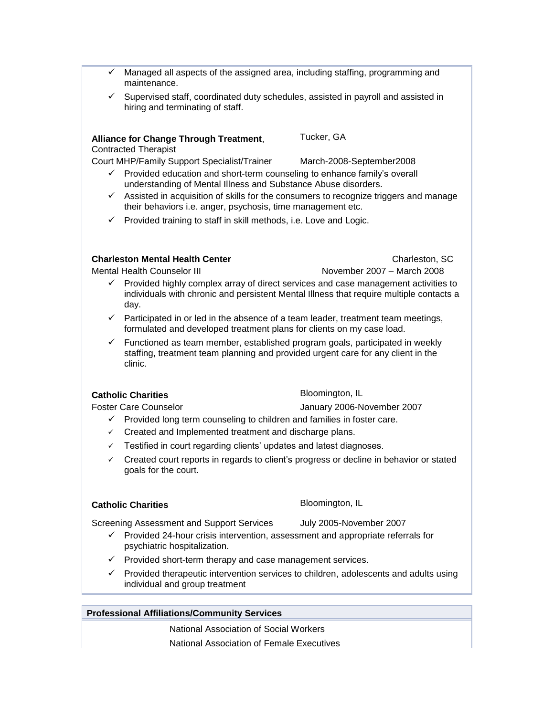- Managed all aspects of the assigned area, including staffing, programming and maintenance.
- $\checkmark$  Supervised staff, coordinated duty schedules, assisted in payroll and assisted in hiring and terminating of staff.

#### **Alliance for Change Through Treatment**,

Contracted Therapist

Court MHP/Family Support Specialist/Trainer March-2008-September2008

- $\checkmark$  Provided education and short-term counseling to enhance family's overall understanding of Mental Illness and Substance Abuse disorders.
- $\checkmark$  Assisted in acquisition of skills for the consumers to recognize triggers and manage their behaviors i.e. anger, psychosis, time management etc.

Tucker, GA

 $\checkmark$  Provided training to staff in skill methods, i.e. Love and Logic.

## **Charleston Mental Health Center <b>Charleston, SC** Charleston, SC

Mental Health Counselor III November 2007 – March 2008

- $\checkmark$  Provided highly complex array of direct services and case management activities to individuals with chronic and persistent Mental Illness that require multiple contacts a day.
- $\checkmark$  Participated in or led in the absence of a team leader, treatment team meetings, formulated and developed treatment plans for clients on my case load.
- $\checkmark$  Functioned as team member, established program goals, participated in weekly staffing, treatment team planning and provided urgent care for any client in the clinic.

### **Catholic Charities Bloomington, IL**

Foster Care Counselor January 2006-November 2007

- $\checkmark$  Provided long term counseling to children and families in foster care.
- $\checkmark$  Created and Implemented treatment and discharge plans.
- $\checkmark$  Testified in court regarding clients' updates and latest diagnoses.
- $\checkmark$  Created court reports in regards to client's progress or decline in behavior or stated goals for the court.

### **Catholic Charities**

Bloomington, IL

Screening Assessment and Support Services July 2005-November 2007

- $\checkmark$  Provided 24-hour crisis intervention, assessment and appropriate referrals for psychiatric hospitalization.
- $\checkmark$  Provided short-term therapy and case management services.
- $\checkmark$  Provided therapeutic intervention services to children, adolescents and adults using individual and group treatment

### **Professional Affiliations/Community Services**

National Association of Social Workers National Association of Female Executives